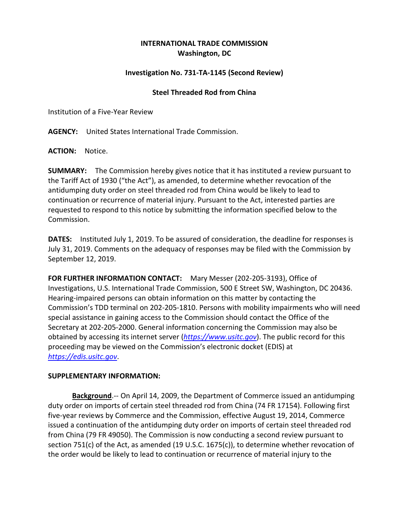## **INTERNATIONAL TRADE COMMISSION Washington, DC**

## **Investigation No. 731-TA-1145 (Second Review)**

## **Steel Threaded Rod from China**

Institution of a Five-Year Review

**AGENCY:** United States International Trade Commission.

**ACTION:** Notice.

**SUMMARY:** The Commission hereby gives notice that it has instituted a review pursuant to the Tariff Act of 1930 ("the Act"), as amended, to determine whether revocation of the antidumping duty order on steel threaded rod from China would be likely to lead to continuation or recurrence of material injury. Pursuant to the Act, interested parties are requested to respond to this notice by submitting the information specified below to the Commission.

**DATES:** Instituted July 1, 2019. To be assured of consideration, the deadline for responses is July 31, 2019. Comments on the adequacy of responses may be filed with the Commission by September 12, 2019.

**FOR FURTHER INFORMATION CONTACT:** Mary Messer (202-205-3193), Office of Investigations, U.S. International Trade Commission, 500 E Street SW, Washington, DC 20436. Hearing-impaired persons can obtain information on this matter by contacting the Commission's TDD terminal on 202-205-1810. Persons with mobility impairments who will need special assistance in gaining access to the Commission should contact the Office of the Secretary at 202-205-2000. General information concerning the Commission may also be obtained by accessing its internet server (*[https://www.usitc.gov](https://www.usitc.gov/)*). The public record for this proceeding may be viewed on the Commission's electronic docket (EDIS) at *[https://edis.usitc.gov](https://edis.usitc.gov/)*.

## **SUPPLEMENTARY INFORMATION:**

**Background**.-- On April 14, 2009, the Department of Commerce issued an antidumping duty order on imports of certain steel threaded rod from China (74 FR 17154). Following first five-year reviews by Commerce and the Commission, effective August 19, 2014, Commerce issued a continuation of the antidumping duty order on imports of certain steel threaded rod from China (79 FR 49050). The Commission is now conducting a second review pursuant to section 751(c) of the Act, as amended (19 U.S.C. 1675(c)), to determine whether revocation of the order would be likely to lead to continuation or recurrence of material injury to the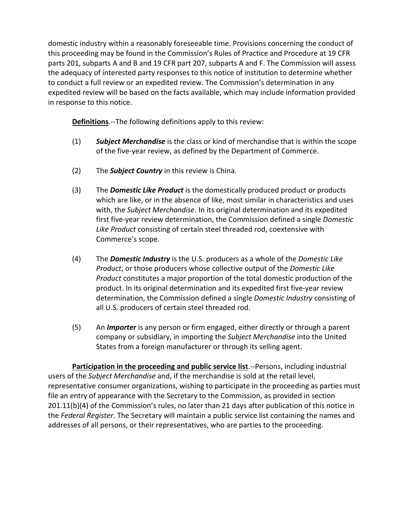domestic industry within a reasonably foreseeable time. Provisions concerning the conduct of this proceeding may be found in the Commission's Rules of Practice and Procedure at 19 CFR parts 201, subparts A and B and 19 CFR part 207, subparts A and F. The Commission will assess the adequacy of interested party responses to this notice of institution to determine whether to conduct a full review or an expedited review. The Commission's determination in any expedited review will be based on the facts available, which may include information provided in response to this notice.

**Definitions**.--The following definitions apply to this review:

- (1) *Subject Merchandise* is the class or kind of merchandise that is within the scope of the five-year review, as defined by the Department of Commerce.
- (2) The *Subject Country* in this review is China.
- (3) The *Domestic Like Product* is the domestically produced product or products which are like, or in the absence of like, most similar in characteristics and uses with, the *Subject Merchandise*. In its original determination and its expedited first five-year review determination, the Commission defined a single *Domestic Like Product* consisting of certain steel threaded rod, coextensive with Commerce's scope.
- (4) The *Domestic Industry* is the U.S. producers as a whole of the *Domestic Like Product*, or those producers whose collective output of the *Domestic Like Product* constitutes a major proportion of the total domestic production of the product. In its original determination and its expedited first five-year review determination, the Commission defined a single *Domestic Industry* consisting of all U.S. producers of certain steel threaded rod.
- (5) An *Importer* is any person or firm engaged, either directly or through a parent company or subsidiary, in importing the *Subject Merchandise* into the United States from a foreign manufacturer or through its selling agent.

**Participation in the proceeding and public service list**.--Persons, including industrial users of the *Subject Merchandise* and, if the merchandise is sold at the retail level, representative consumer organizations, wishing to participate in the proceeding as parties must file an entry of appearance with the Secretary to the Commission, as provided in section 201.11(b)(4) of the Commission's rules, no later than 21 days after publication of this notice in the *Federal Register*. The Secretary will maintain a public service list containing the names and addresses of all persons, or their representatives, who are parties to the proceeding.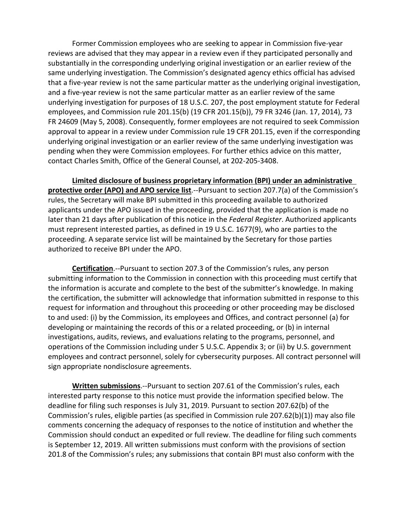Former Commission employees who are seeking to appear in Commission five-year reviews are advised that they may appear in a review even if they participated personally and substantially in the corresponding underlying original investigation or an earlier review of the same underlying investigation. The Commission's designated agency ethics official has advised that a five-year review is not the same particular matter as the underlying original investigation, and a five-year review is not the same particular matter as an earlier review of the same underlying investigation for purposes of 18 U.S.C. 207, the post employment statute for Federal employees, and Commission rule 201.15(b) (19 CFR 201.15(b)), 79 FR 3246 (Jan. 17, 2014), 73 FR 24609 (May 5, 2008). Consequently, former employees are not required to seek Commission approval to appear in a review under Commission rule 19 CFR 201.15, even if the corresponding underlying original investigation or an earlier review of the same underlying investigation was pending when they were Commission employees. For further ethics advice on this matter, contact Charles Smith, Office of the General Counsel, at 202-205-3408.

**Limited disclosure of business proprietary information (BPI) under an administrative protective order (APO) and APO service list**.--Pursuant to section 207.7(a) of the Commission's rules, the Secretary will make BPI submitted in this proceeding available to authorized applicants under the APO issued in the proceeding, provided that the application is made no later than 21 days after publication of this notice in the *Federal Register*. Authorized applicants must represent interested parties, as defined in 19 U.S.C. 1677(9), who are parties to the proceeding. A separate service list will be maintained by the Secretary for those parties authorized to receive BPI under the APO.

**Certification**.--Pursuant to section 207.3 of the Commission's rules, any person submitting information to the Commission in connection with this proceeding must certify that the information is accurate and complete to the best of the submitter's knowledge. In making the certification, the submitter will acknowledge that information submitted in response to this request for information and throughout this proceeding or other proceeding may be disclosed to and used: (i) by the Commission, its employees and Offices, and contract personnel (a) for developing or maintaining the records of this or a related proceeding, or (b) in internal investigations, audits, reviews, and evaluations relating to the programs, personnel, and operations of the Commission including under 5 U.S.C. Appendix 3; or (ii) by U.S. government employees and contract personnel, solely for cybersecurity purposes. All contract personnel will sign appropriate nondisclosure agreements.

**Written submissions**.--Pursuant to section 207.61 of the Commission's rules, each interested party response to this notice must provide the information specified below. The deadline for filing such responses is July 31, 2019. Pursuant to section 207.62(b) of the Commission's rules, eligible parties (as specified in Commission rule 207.62(b)(1)) may also file comments concerning the adequacy of responses to the notice of institution and whether the Commission should conduct an expedited or full review. The deadline for filing such comments is September 12, 2019. All written submissions must conform with the provisions of section 201.8 of the Commission's rules; any submissions that contain BPI must also conform with the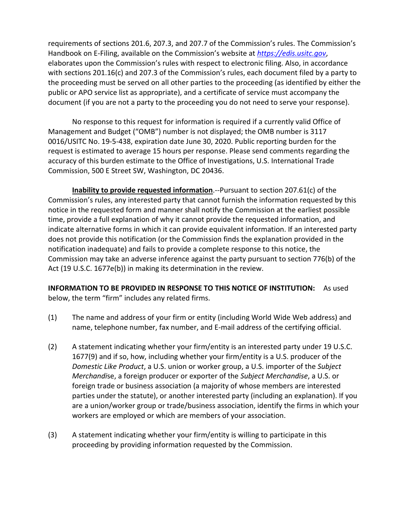requirements of sections 201.6, 207.3, and 207.7 of the Commission's rules. The Commission's Handbook on E-Filing, available on the Commission's website at *[https://edis.usitc.gov](https://edis.usitc.gov/)*, elaborates upon the Commission's rules with respect to electronic filing. Also, in accordance with sections 201.16(c) and 207.3 of the Commission's rules, each document filed by a party to the proceeding must be served on all other parties to the proceeding (as identified by either the public or APO service list as appropriate), and a certificate of service must accompany the document (if you are not a party to the proceeding you do not need to serve your response).

No response to this request for information is required if a currently valid Office of Management and Budget ("OMB") number is not displayed; the OMB number is 3117 0016/USITC No. 19-5-438, expiration date June 30, 2020. Public reporting burden for the request is estimated to average 15 hours per response. Please send comments regarding the accuracy of this burden estimate to the Office of Investigations, U.S. International Trade Commission, 500 E Street SW, Washington, DC 20436.

**Inability to provide requested information**.--Pursuant to section 207.61(c) of the Commission's rules, any interested party that cannot furnish the information requested by this notice in the requested form and manner shall notify the Commission at the earliest possible time, provide a full explanation of why it cannot provide the requested information, and indicate alternative forms in which it can provide equivalent information. If an interested party does not provide this notification (or the Commission finds the explanation provided in the notification inadequate) and fails to provide a complete response to this notice, the Commission may take an adverse inference against the party pursuant to section 776(b) of the Act (19 U.S.C. 1677e(b)) in making its determination in the review.

**INFORMATION TO BE PROVIDED IN RESPONSE TO THIS NOTICE OF INSTITUTION:** As used below, the term "firm" includes any related firms.

- (1) The name and address of your firm or entity (including World Wide Web address) and name, telephone number, fax number, and E-mail address of the certifying official.
- (2) A statement indicating whether your firm/entity is an interested party under 19 U.S.C. 1677(9) and if so, how, including whether your firm/entity is a U.S. producer of the *Domestic Like Product*, a U.S. union or worker group, a U.S. importer of the *Subject Merchandi*se, a foreign producer or exporter of the *Subject Merchandise*, a U.S. or foreign trade or business association (a majority of whose members are interested parties under the statute), or another interested party (including an explanation). If you are a union/worker group or trade/business association, identify the firms in which your workers are employed or which are members of your association.
- (3) A statement indicating whether your firm/entity is willing to participate in this proceeding by providing information requested by the Commission.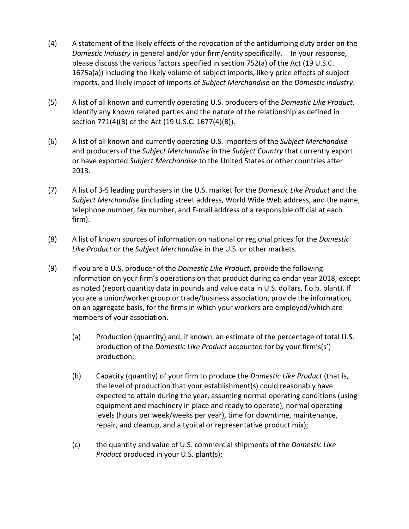- (4) A statement of the likely effects of the revocation of the antidumping duty order on the *Domestic Industry* in general and/or your firm/entity specifically. In your response, please discuss the various factors specified in section 752(a) of the Act (19 U.S.C. 1675a(a)) including the likely volume of subject imports, likely price effects of subject imports, and likely impact of imports of *Subject Merchandise* on the *Domestic Industry*.
- (5) A list of all known and currently operating U.S. producers of the *Domestic Like Product*. Identify any known related parties and the nature of the relationship as defined in section 771(4)(B) of the Act (19 U.S.C. 1677(4)(B)).
- (6) A list of all known and currently operating U.S. importers of the *Subject Merchandise* and producers of the *Subject Merchandise* in the *Subject Country* that currently export or have exported *Subject Merchandise* to the United States or other countries after 2013.
- (7) A list of 3-5 leading purchasers in the U.S. market for the *Domestic Like Product* and the *Subject Merchandise* (including street address, World Wide Web address, and the name, telephone number, fax number, and E-mail address of a responsible official at each firm).
- (8) A list of known sources of information on national or regional prices for the *Domestic Like Product* or the *Subject Merchandise* in the U.S. or other markets.
- (9) If you are a U.S. producer of the *Domestic Like Product*, provide the following information on your firm's operations on that product during calendar year 2018, except as noted (report quantity data in pounds and value data in U.S. dollars, f.o.b. plant). If you are a union/worker group or trade/business association, provide the information, on an aggregate basis, for the firms in which your workers are employed/which are members of your association.
	- (a) Production (quantity) and, if known, an estimate of the percentage of total U.S. production of the *Domestic Like Product* accounted for by your firm's(s') production;
	- (b) Capacity (quantity) of your firm to produce the *Domestic Like Product* (that is, the level of production that your establishment(s) could reasonably have expected to attain during the year, assuming normal operating conditions (using equipment and machinery in place and ready to operate), normal operating levels (hours per week/weeks per year), time for downtime, maintenance, repair, and cleanup, and a typical or representative product mix);
	- (c) the quantity and value of U.S. commercial shipments of the *Domestic Like Product* produced in your U.S. plant(s);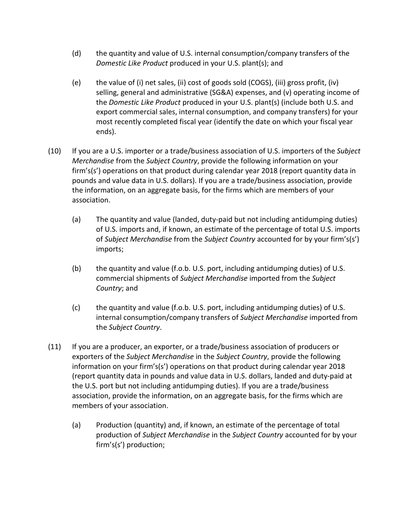- (d) the quantity and value of U.S. internal consumption/company transfers of the *Domestic Like Product* produced in your U.S. plant(s); and
- (e) the value of (i) net sales, (ii) cost of goods sold (COGS), (iii) gross profit, (iv) selling, general and administrative (SG&A) expenses, and (v) operating income of the *Domestic Like Product* produced in your U.S. plant(s) (include both U.S. and export commercial sales, internal consumption, and company transfers) for your most recently completed fiscal year (identify the date on which your fiscal year ends).
- (10) If you are a U.S. importer or a trade/business association of U.S. importers of the *Subject Merchandise* from the *Subject Country*, provide the following information on your firm's(s') operations on that product during calendar year 2018 (report quantity data in pounds and value data in U.S. dollars). If you are a trade/business association, provide the information, on an aggregate basis, for the firms which are members of your association.
	- (a) The quantity and value (landed, duty-paid but not including antidumping duties) of U.S. imports and, if known, an estimate of the percentage of total U.S. imports of *Subject Merchandise* from the *Subject Country* accounted for by your firm's(s') imports;
	- (b) the quantity and value (f.o.b. U.S. port, including antidumping duties) of U.S. commercial shipments of *Subject Merchandise* imported from the *Subject Country*; and
	- (c) the quantity and value (f.o.b. U.S. port, including antidumping duties) of U.S. internal consumption/company transfers of *Subject Merchandise* imported from the *Subject Country*.
- (11) If you are a producer, an exporter, or a trade/business association of producers or exporters of the *Subject Merchandise* in the *Subject Country*, provide the following information on your firm's(s') operations on that product during calendar year 2018 (report quantity data in pounds and value data in U.S. dollars, landed and duty-paid at the U.S. port but not including antidumping duties). If you are a trade/business association, provide the information, on an aggregate basis, for the firms which are members of your association.
	- (a) Production (quantity) and, if known, an estimate of the percentage of total production of *Subject Merchandise* in the *Subject Country* accounted for by your firm's(s') production;